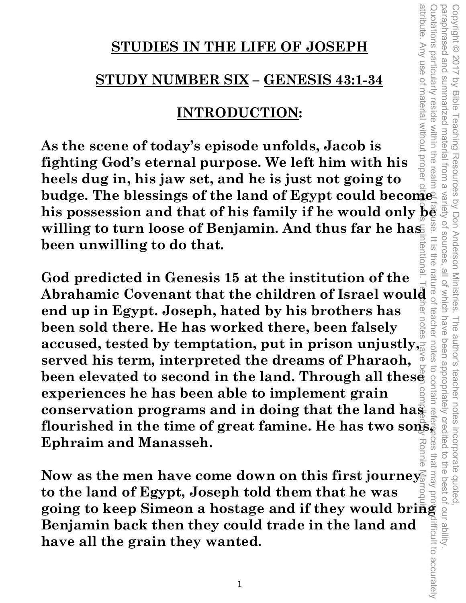### **STUDIES IN THE LIFE OF JOSEPH**

## **STUDY NUMBER SIX – GENESIS 43:1-34**

# **INTRODUCTION:**

attribute. Any use of material without propel **As the scene of today's episode unfolds, Jacob is fighting God's eternal purpose. We left him with his heels dug in, his jaw set, and he is just not going to**  neels dug in, his jaw set, and he is just not going to  $\frac{1}{2}$  sumplement in the blessings of the land of Egypt could become<sup>2</sup>. **budge. The blessings of the land of Egypt could becomes**  $\frac{1}{8}$  **his possession and that of his family if he would only**  $\frac{1}{8}$  $\frac{1}{8}$ **willing to turn loose of Benjamin. And thus far he has been unwilling to do that.**  rentiona

Copyright © 2017 by Bible Teaching Resources by Don Anderson Ministries. The author's teacher notes incorporate quoted,

Teaching Resources by Don Anderson Ministries.

paraphrased and summarized material from a variety of sources, all of which have been appropriately credited to the best of our ability.

all of which have

OT SOUITCES  $rac{1}{\sqrt{2}}$ 

ine

teacher

notes

paraphrased and

luotations particularly reside within the rea

summarized material from a

Copyright © 2017 by Bible

attribute. Any use of material without proper citation is unintentional. Teacher notes have been compiled by Ronnie Marroquin. God predicted in Genesis 15 at the institution of the  $\frac{a}{d}$   $\frac{a}{d}$ <br>Abrahamic Covenant that the children of Israel would **God predicted in Genesis 15 at the institution of the**  ಸ **end up in Egypt. Joseph, hated by his brothers has been sold there. He has worked there, been falsely** accused, tested by temptation, put in prison unjustly, **been sold there. He has worked there, been falsely**  ົັດ **served his term, interpreted the dreams of Pharaoh, been elevated to second in the land. Through all these experiences he has been able to implement grain conservation programs and in doing that the land has flourished in the time of great famine. He has two sons, Ephraim and Manasseh.** 

**Now as the men have come down on this first journey to the land of Egypt, Joseph told them that he was going to keep Simeon a hostage and if they would bring Benjamin back then they could trade in the land and have all the grain they wanted.**  Quotations particularly reside within the realm of fair use. It is the nature of teacher notes to contain references that may provadifficult to accurately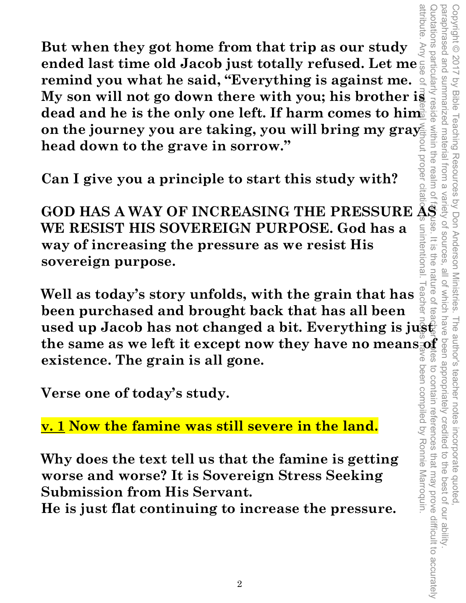attribute attribute. Any use of material without proper citation is unintentional. Teacher notes have been compiled by Ronnie Marroquin. **But when they got home from that trip as our study ended last time old Jacob just totally refused. Let me remind you what he said, "Everything is against me. My son will not go down there with you; his brother is**  dead and he is the only one left. If harm comes to him<sup>...</sup> on the journey you are taking, you will bring my gray head down to the grave in sorrow." **head down to the grave in sorrow."** 

**Can I give you a principle to start this study with?** 

**GOD HAS A WAY OF INCREASING THE PRESSURE AS WE RESIST HIS SOVEREIGN PURPOSE. God has a way of increasing the pressure as we resist His sovereign purpose.** 

Copyright © 2017 by Bible Teaching Resources by Don Anderson Ministries. The author's teacher notes incorporate quoted,

Copyright © 2017 by Bible Teaching Resources by Don Anderson Ministries.

paraphrased and summarized material from a variety of sources, all of which have been appropriately credited to the best of our ability.

all of which have

unintentiona  $rac{1}{5}$  paraphrased and summarized material from a

uotations particularly

reside within the realm o

Quotations particularly reside within the realm of fands. It is the nature of teacher wites to contain references that may prove difficult to accurately the nature o leac **Well as today's story unfolds, with the grain that has been purchased and brought back that has all been been purchased and brought back that has all been**  $\frac{a}{2}$   $\frac{a}{2}$  used up Jacob has not changed a bit. Everything is just **the same as we left it except now they have no means of a signal scheme.**<br> **the same as we left it except now they have no means**  $\frac{1}{3}$  **or**  $\frac{1}{3}$  **and**  $\frac{1}{3}$  **are existence. The grain is all gone.**<br>
Verse one of to ミの **GS existence. The grain is all gone.**  been compiled by Ronnie Marroquin. to contain references that may prove difficult to accurately

**Verse one of today's study.** 

**v. 1 Now the famine was still severe in the land.** 

**Why does the text tell us that the famine is getting worse and worse? It is Sovereign Stress Seeking Submission from His Servant.** 

**He is just flat continuing to increase the pressure.**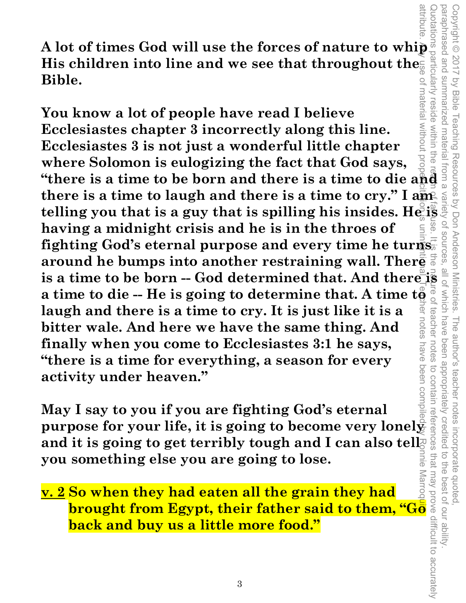A lot of times God will use the forces of nature to whip<br>
His children into line and we see that throughout the His children into line and we see that throughout the **Bible.** 

attribute. Any use of material without proper citation is unintentional. Teacher notes have been compiled by Ronnie Marroquin. Quotations particularly reside within the rearm of fair use. It is the nature of teacher notes to contain references that may prove difficult to accurately **Example 12 and 12 and 12 and 12 and 12 and 12 and 12 and 12 and 12 and 12 and 12 and 12 and 12 and 12 and 12 and 12 and 12 and 12 and 12 and 12 and 12 and 12 and 12 and 12 and 12 and 12 and 12 and 12 and 12 and 12 and 12** material without prop reside within the **You know a lot of people have read I believe Ecclesiastes chapter 3 incorrectly along this line. Ecclesiastes 3 is not just a wonderful little chapter where Solomon is eulogizing the fact that God says,**  there is a time to laugh and there is a time to cry." I am there is a time to laugh and there is a time to cry." I ame for the set of that is a guy that is spilling his insides. He is  $\frac{1}{2}$  having a midnight crisis and he is in the throes of fighting God's eternal purpose and **having a midnight crisis and he is in the throes of fighting God's eternal purpose and every time he turns**  around he bumps into another restraining wall. There is a time to be born -- God determined that. And there is  $\frac{1}{3}$  a time to die -- He is going to determine that. A time  $t\frac{1}{9}$   $\frac{1}{9}$  s laugh and there is a time to cry. It is just like it is a bitter wale. And a time to die -- He is going to determine that. A time to **laugh and there is a time to cry. It is just like it is a**  teacher notes **bitter wale. And here we have the same thing. And finally when you come to Ecclesiastes 3:1 he says,**  notes **"there is a time for everything, a season for every activity under heaven."** 

Copyright © 2017 by Bible Teaching Resources by Don Anderson Ministries. The author's teacher notes incorporate quoted,

The author's teacher notes

been appropriately credited

incorporate quoted,<br>edited to the best of our ability

Teaching Resources by Don Anderson Ministries.

paraphrased and summarized material from a variety of sources, all of which have been appropriately credited to the best of our ability.

paraphrased and Copyright © 2017

Vy Bible

**May I say to you if you are fighting God's eternal purpose for your life, it is going to become very lonely**  and it is going to get terribly tough and I can also tell<sup>2</sup> **you something else you are going to lose.** 

**v. 2 So when they had eaten all the grain they had brought from Egypt, their father said to them, "Go back and buy us a little more food."**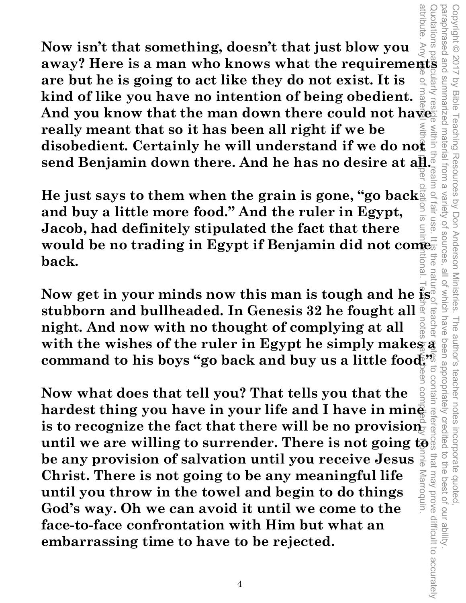**as a man who knows what the requirements away? Here is a man who knows what the requirements** attribute. Any use of material without proper citation is unintentional. Teacher notes have been compiled by Ronnie Marroquin. Quotations particularly reside within the realm of fair use. It is the nature of teacher references to contain references that may prove difficult to accurately suotations **Now isn't that something, doesn't that just blow you**  Auein: **are but he is going to act like they do not exist. It is kind of like you have no intention of being obedient.**  And you know that the man down there could not have **really meant that so it has been all right if we be disobedient. Certainly he will understand if we do not send Benjamin down there. And he has no desire at all.**<br> **Example 2015**<br> **Example 19 and 19 and 19 and 19 and 19 and 19 and 19 and 19 and 19 and 19 and 19 and 19 and 19 and 19 and 19 and 19 and 19 and 19 and 19 and 19 and** 

**He just says to them when the grain is gone, "go back and buy a little more food." And the ruler in Egypt, Jacob, had definitely stipulated the fact that there would be no trading in Egypt if Benjamin did not comet**<br>back. ltiona **back.** 

Copyright © 2017 by Bible Teaching Resources by Don Anderson Ministries. The author's teacher notes incorporate quoted,

The author's teacher notes

incorporate quoted,<br>edited to the best of our ability

that may prove difficult to accurately

by Bible Teaching Resources by Don Anderson Ministries.

paraphrased and summarized material from a variety of sources, all of which have been appropriately credited to the best of our ability.

all of Which have

Variety of sources

**Tall USe** 

attribute

Copyright © 2017

summarized material from a

**Now get in your minds now this man is tough and he is stubborn and bullheaded. In Genesis 32 he fought all night. And now with no thought of complying at all** 

with the wishes of the ruler in Egypt he simply makes a<br>command to his boys "go back and buy us a little fooders<br>of the sum of the state of the state of the state of the state of the state of the state of the particle is c **command to his boys "go back and buy us a little food."**<br>
Now what does that tell you? That tells you that the<br>
hardest thing you have in your life and I have in mine<br>
is to recognize the fact that there will be no provis **Now what does that tell you? That tells you that the hardest thing you have in your life and I have in mine**  is to recognize the fact that there will be no provisionuntil we are willing to surrender. There is not going to  $\frac{1}{2}$ **be any provision of salvation until you receive Jesus Christ. There is not going to be any meaningful life**  Marroquin **until you throw in the towel and begin to do things God's way. Oh we can avoid it until we come to the face-to-face confrontation with Him but what an embarrassing time to have to be rejected.**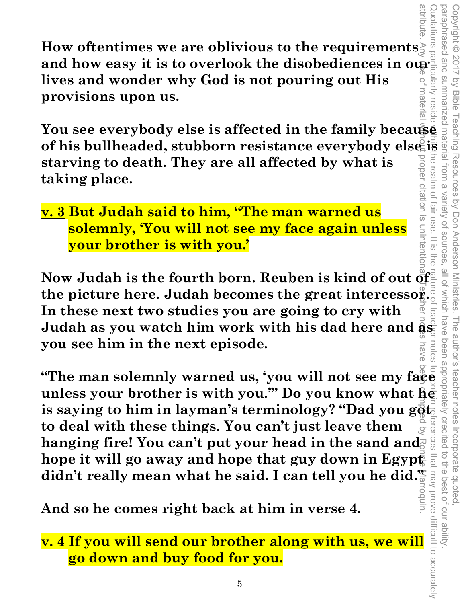**How oftentimes we are oblivious to the requirements**  and how easy it is to overlook the disobediences in our and wonder why God is not pouring out His **lives and wonder why God is not pouring out His**  materia **provisions upon us.** 

**The SET of New YOU SET OF STARBOT AND SET OF STARBO SET ON SERVING A SUPPROVISIONS UPON US.**<br> **You see everybody else is affected in the family because and working to death. They are all affected by what is<br>
taking place. of his bullheaded, stubborn resistance everybody else is starving to death. They are all affected by what is Teal taking place.**  llm of citation is unintentio

**v. 3 But Judah said to him, "The man warned us solemnly, 'You will not see my face again unless your brother is with you.'** 

**Now Judah is the fourth born. Reuben is kind of out of the picture here. Judah becomes the great intercessor. In these next two studies you are going to cry with**   ${\bf Judah}$  as you watch him work with his dad here and  $\bar{\bf a}\hat{\bf s}$ **you see him in the next episode.** 

attribute. Any use of material without proper citation is unintentional. Teacher notes have been compiled by Ronnie Marroquin. **"The man solemnly warned us, 'you will not see my face unless your brother is with you.'" Do you know what he is saying to him in layman's terminology? "Dad you goth to deal with these things. You can't just leave them**  DGSS hanging fire! You can't put your head in the sand and hope it will go away and hope that guy down in Egypt that may prove difficult to accurately didn't really mean what he said. I can tell you he did.<sup>"</sup>

**And so he comes right back at him in verse 4.** 

**v. 4 If you will send our brother along with us, we will go down and buy food for you.**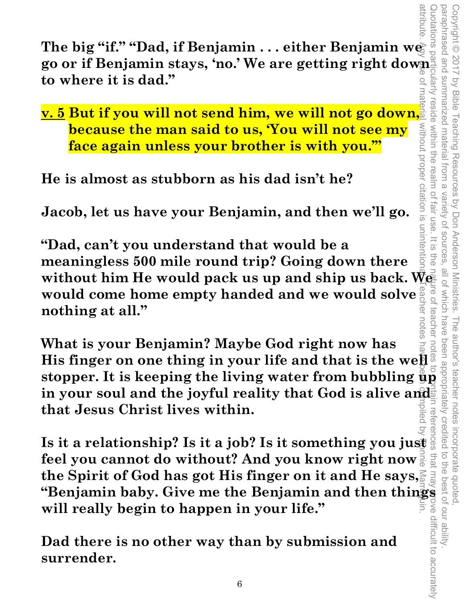attribute. Any tee of material without proper citation is unintentional. Teacher notes have been compiled by Ronnie Marrowin. Quotations particularly reside within the realm of fair use. It is the nature of teacher notes to contain references that may prove difficult to accurately paraphrased and summarized material from a variety of sources, all of which have been appropriately credited to the best of our ability. Copyright © 2017 by Bible Teaching Resources by Don Anderson Ministries. The author's teacher notes incorporate quoted, pue pesenderac Copyright © 2017 protations summarized material from a by Bible reside within the realm of Teaching Resources by Don Anderson Ministries. Variety of sources **Tall<sup>r</sup>US**  $\frac{1}{2}$ all of which have teachel The author's teacher notes incorporate quoted to the best of our ability that ima.

**The big "if." "Dad, if Benjamin . . . either Benjamin we go or if Benjamin stays, 'no.' We are getting right down**<br>to where it is dad." **to where it is dad."** 

**v. 5 But if you will not send him, we will not go down, because the man said to us, 'You will not see my face again unless your brother is with you.'"** 

**He is almost as stubborn as his dad isn't he?** 

**Jacob, let us have your Benjamin, and then we'll go.** 

without proper citation is unintent **"Dad, can't you understand that would be a meaningless 500 mile round trip? Going down there**  without him He would pack us up and ship us back. We<sup>nd</sup><br>would come home empty handed and we would solve would come home empty handed and we would solve **and**  $\frac{1}{2}$ **nothing at all."** 

**LOCES What is your Benjamin? Maybe God right now has His finger on one thing in your life and that is the well stopper. It is keeping the living water from bubbling up**  in your soul and the joyful reality that God is alive and **that Jesus Christ lives within.** 

Inat Jesus Christ lives within.<br>
Is it a relationship? Is it a job? Is it something you just <sup>of</sup> **feel you cannot do without? And you know right now the Spirit of God has got His finger on it and He says, "Benjamin baby. Give me the Benjamin and then things will really begin to happen in your life."** 

**Dad there is no other way than by submission and surrender.**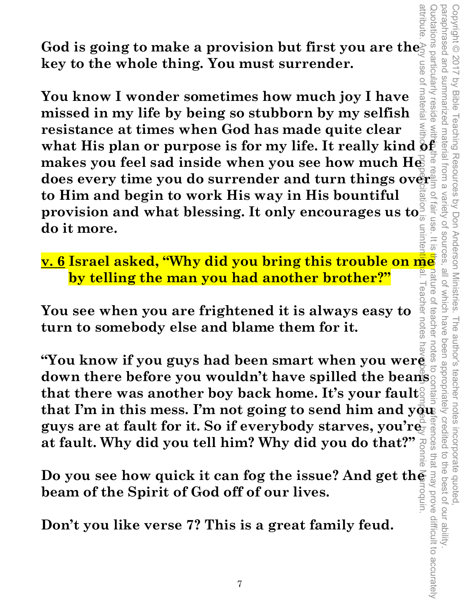God is going to make a provision but first you are the **key to the whole thing. You must surrender.** 

materia **You know I wonder sometimes how much joy I have missed in my life by being so stubborn by my selfish resistance at times when God has made quite clear**  what His plan or purpose is for my life. It really kind  $\bar{\mathbf{\Phi}}\bar{\mathbf{\mathbf{\Phi}}}$ makes you feel sad inside when you see how much He **does every time you do surrender and turn things over to Him and begin to work His way in His bountiful provision and what blessing. It only encourages us to do it more.** 

**v. 6 Israel asked, "Why did you bring this trouble on me by telling the man you had another brother?"**  eacher notes

Copyright © 2017 by Bible Teaching Resources by Don Anderson Ministries. The author's teacher notes incorporate quoted,

The author's teacher notes

been appropriately creditec

i incorporate quoted,<br>redited to the best of our ability

Teaching Resources by Don Anderson Ministries.

paraphrased and summarized material from a variety of sources, all of which have been appropriately credited to the best of our ability.

all of which have

Variety of sources

paraphrased and Copyright © 2017

summarized material from a

**by Bible** 

wotations particularly

reside with

 $Q$ 

fair use

 $\overline{\omega}$ 

nature

reachel

 $\overline{O}$ 

**You see when you are frightened it is always easy to turn to somebody else and blame them for it.** 

attribute. Any use of material without proper citation is unintentional. Teacher notes have been compiled by Ronnie Marroquin. Quotations particularly reside within the realm of fair use. It is the nature of teacher notes to contain references that may prove difficult to accurately notes **"You know if you guys had been smart when you were down there before you wouldn't have spilled the beans**  that there was another boy back home. It's your fault<sup>2</sup> that I'm in this mess. I'm not going to send him and  $y\bar{q}u\bar{b}$ **guys are at fault for it. So if everybody starves, you're at fault. Why did you tell him? Why did you do that?"** 

**Do you see how quick it can fog the issue? And get the** <br>beam of the Spirit of God off of our lives.<br>Don't you like verse 7? This is a great family feud. **beam of the Spirit of God off of our lives.** 

**Don't you like verse 7? This is a great family feud.**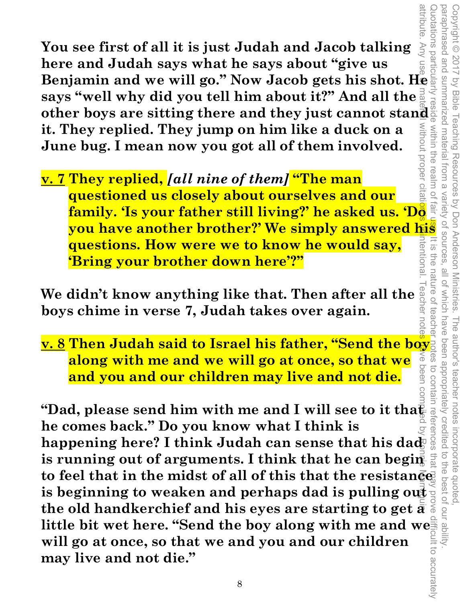**Benjamin and we will go." Now Jacob falls and Jacob falls in the same of all it is just Judah and Jacob talking**  $\frac{1}{2}$  **or the particle of**  $\frac{1}{2}$  **or**  $\frac{1}{2}$  **and**  $\frac{1}{2}$  **and**  $\frac{1}{2}$  **and**  $\frac{1}{2}$  **and we will go. You see first of all it is just Judah and Jacob talking here and Judah says what he says about "give us says "well why did you tell him about it?" And all the**  other boys are sitting there and they just cannot stand  $\frac{d}{dx}$ <br>it. They replied They is the set of the set of the set of the set of the set of the set of the set of the set of<br>it. They replied They is the set of the set **MILDOUT it. They replied. They jump on him like a duck on a June bug. I mean now you got all of them involved.** 

propel **v. 7 They replied,** *[all nine of them]* **"The man questioned us closely about ourselves and our family. 'Is your father still living?' he asked us. 'Do you have another brother?' We simply answered his Trentiona questions. How were we to know he would say, 'Bring your brother down here'?"** 

Copyright © 2017 by Bible Teaching Resources by Don Anderson Ministries. The author's teacher notes incorporate quoted,

The author's teacher notes

been appropriately credited

incorporate quoted,<br>edited to the best of our ability

Copyright © 2017 by Bible Teaching Resources by Don Anderson Ministries.

within the realm of

paraphrased and summarized material from a variety of sources, all of which have been appropriately credited to the best of our ability.

all of which have

Variety of sources

 $\frac{1}{\sqrt{2}}$ 

ine<br>a

nature of

ceache

paraphrased and summarized material from a

We didn't know anything like that. Then after all the <sup>all</sup><br>hove chime in yerse 7. Judah takes over again **boys chime in verse 7, Judah takes over again.** 

**LIOTE**  $\lessapprox$ **along with me and we will go at once, so that we**  peen **and you and our children may live and not die.** 

**<u>v. 8</u> Then Judah said to Israel his father, "Send the boys"**<br>**along with me and we will go at once, so that we**<br>**and you and our children may live and not die.**<br>"Dad, please send him with me and I will see to it that  $\$ "Dad, please send him with me and I will see to it tha $\bar{\mathbf{\epsilon}}$ **he comes back." Do you know what I think is**  happening here? I think Judah can sense that his dad is running out of arguments. I think that he can beginto feel that in the midst of all of this that the resistance. **is beginning to weaken and perhaps dad is pulling out the old handkerchief and his eyes are starting to get a little bit wet here. "Send the boy along with me and we will go at once, so that we and you and our children**<br>may live and not die." **will go at once, so that we and you and our children may live and not die."**  Quotations particularly reside within the realm of fair user it is the nature of teacher notes to contain references that may prove difficult to accurately attribute. Any use of material without proper citation per citation is the contention is unintention is unifie Marroquin. Teacher notes  $\bar{\omega}$ ve been compiled by Bonnie Narroquing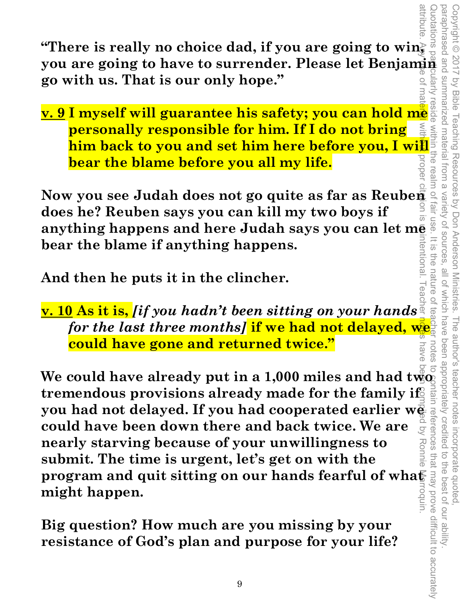Quotations particularly reside within the realm of fair use. It is the nature of teacher notes to contain references that may prove difficult to accurately **you are is really no choice dad, if you are going to wing a set of the comparison of the comparison of the comparison of the comparison of the comparison of the set**  $\mathbf{S}$ protations **"There is really no choice dad, if you are going to win, go with us. That is our only hope."**  ularly

**v. 9 I myself will guarantee his safety; you can hold me personally responsible for him. If I do not bring him back to you and set him here before you, I will bear the blame before you all my life.** 

**Now you see Judah does not go quite as far as Reuben does he? Reuben says you can kill my two boys if anything happens and here Judah says you can let me bear the blame if anything happens. Itentional** 

Copyright © 2017 by Bible Teaching Resources by Don Anderson Ministries. The author's teacher notes incorporate quoted,

by Bible Teaching Resources by Don Anderson Ministries.

Copyright @ 2017

summarized material from a

paraphrased and summarized material from a variety of sources, all of which have been appropriately credited to the best of our ability.

io lle nature

which have

notes

The author's teacher notes

been appropriately credited

incorporate quoted,<br>edited to the best of our ability

Variety of sources

 $\overline{5}$ FIG<sub>O</sub>

**And then he puts it in the clincher.** 

**v. 10 As it is,** *[if you hadn't been sitting on your hands for the last three months]* **if we had not delayed, we could have gone and returned twice."** 

attribute. Any use of material without proper citation is unintentional. Teacher notes have been compiled by Ronnie Marroquin. **We could have already put in a 1,000 miles and had two**  $\frac{2}{9}$ **tremendous provisions already made for the family if**  $\otimes$ ltain **you had not delayed. If you had cooperated earlier we could have been down there and back twice. We are could have been down there and back twice. We are nearly starving because of your unwillingness to submit. The time i could have been down there and back twice. We are nearly starving because of your unwillingness to submit. The time is urgent, let's get on with the program and quit sitting on our hands fearful of wha** $\mathbf{F}$ unbou. **might happen.** 

**Big question? How much are you missing by your resistance of God's plan and purpose for your life?**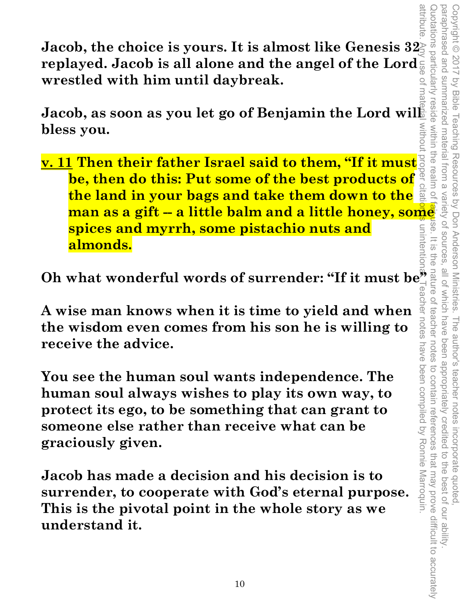**Jacob, the choice is yours. It is almost like Genesis 32 replayed. Jacob is all alone and the angel of the Lord wrestled with him until daybreak.** 

Jacob, as soon as you let go of Benjamin the Lord will **bless you.** 

**v. 11 Then their father Israel said to them, "If it must be, then do this: Put some of the best products of the land in your bags and take them down to the**   $\overline{\overline{\omega}}$ **man as a gift -- a little balm and a little honey, some spices and myrrh, some pistachio nuts and**  unintent **almonds.** 

Oh what wonderful words of surrender: "If it must be  $\frac{a}{\alpha}$ 

**A wise man knows when it is time to yield and when the wisdom even comes from his son he is willing to receive the advice.** 

**You see the human soul wants independence. The human soul always wishes to play its own way, to protect its ego, to be something that can grant to someone else rather than receive what can be graciously given.** 

**Jacob has made a decision and his decision is to surrender, to cooperate with God's eternal purpose. This is the pivotal point in the whole story as we understand it.**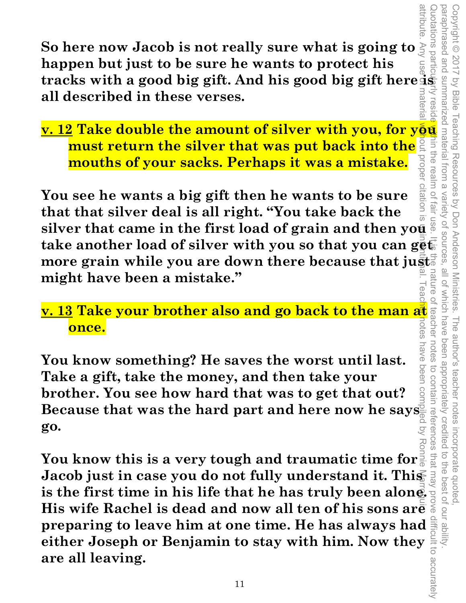**So here now Jacob is not really sure what is going to happen but just to be sure he wants to protect his tracks with a good big gift. And his good big gift here is all described in these verses.**   $\vec{D}$ 

**<u>v. 12 Take double the amount of silver with you, for you</u> must return the silver that was put back into the**  the rea **mouths of your sacks. Perhaps it was a mistake.** 

attribute. Any use of material without proper citation is unintentional. Teacher notes have been compiled by Ronnie Marroquin. lm of citatio **You see he wants a big gift then he wants to be sure that that silver deal is all right. "You take back the silver that came in the first load of grain and then you take another load of silver with you so that you can get more grain while you are down there because that just. might have been a mistake."** 

Copyright © 2017 by Bible Teaching Resources by Don Anderson Ministries. The author's teacher notes incorporate quoted,

Teaching Resources by Don Anderson Ministries.

paraphrased and summarized material from a variety of sources, all of which have been appropriately credited to the best of our ability.

SII OT W

hich have

notes

nave been

been appropriately creditec

The author's teacher notes

incorporate quoted

the best of our ability

paraphrased and

summarized material

trom

 $\alpha$ 

Variety of sources

Copyright © 2017 by Bible

#### **v. 13 Take your brother also and go back to the man at**  ptes **once.**

**You know something? He saves the worst until last. Take a gift, take the money, and then take your brother. You see how hard that was to get that out? Because that was the hard part and here now he says go.**<br>**go. go.** 

Quotations particularly reside within the realm of fair use. It is the nature of teacher notes to contain references that may prove difficult to accurately to contain references **You know this is a very tough and traumatic time for Jacob just in case you do not fully understand it. This is the first time in his life that he has truly been alone. His wife Rachel is dead and now all ten of his sons are preparing to leave him at one time. He has always had seither Joseph or Benjamin to stay with him. Now they are all leaving.**<br>
are all leaving. **either Joseph or Benjamin to stay with him. Now they are all leaving.**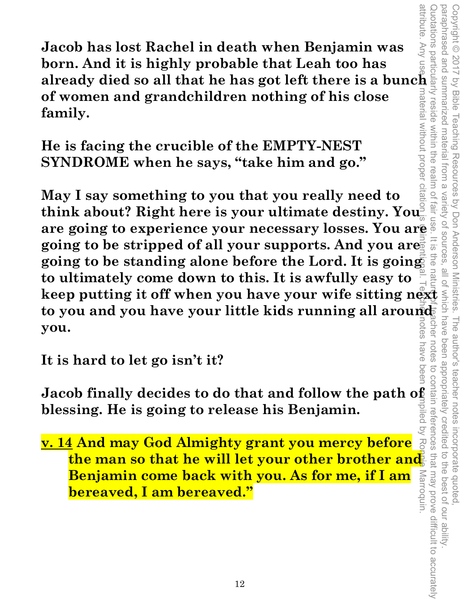**Jacob has lost Rachel in death when Benjamin was born. And it is highly probable that Leah too has already died so all that he has got left there is a bunch of women and grandchildren nothing of his close family.** 

**He is facing the crucible of the EMPTY-NEST SYNDROME when he says, "take him and go."** 

attribute. Any use **of m**aterial without proper citation is unitentional. Teacher notes have been compiled by Ronnie Marroquin. Quotations particularly reside within the realm of fair use. It is the nature hature the notes to contain references that may prove difficult to accurately **May I say something to you that you really need to**  May I say something to you that you really need to<br>think about? Right here is your ultimate destiny. You<sup>s a</sup> single<br>are going to experience your necessary losses. You are<br>going to be stripped of all your supports. And yo jair l **think about? Right here is your ultimate destiny. You are going to experience your necessary losses. You are going to be stripped of all your supports. And you are**  $\frac{1}{2}$ **going to be standing alone before the Lord. It is going to ultimately come down to this. It is awfully easy to**  to you and you have your little kids running all around<br>you. **you. TES** 

Copyright © 2017 by Bible Teaching Resources by Don Anderson Ministries. The author's teacher notes incorporate quoted,

The author's teacher notes

been appropriately credited

incorporate quoted,<br>edited to the best of our ability

notes nave

 $\cup$ 

Copyright © 2017 by Bible Teaching Resources by Don Anderson Ministries.

paraphrased and summarized material from a variety of sources, all of which have been appropriately credited to the best of our ability.

paraphrased and summarized material from a

**It is hard to let go isn't it?** 

npiled **blessing. He is going to release his Benjamin.** 

**Jacob finally decides to do that and follow the path of**<br>blessing. He is going to release his Benjamin.<br> **v. 14 And may God Almighty grant you mercy before**<br>
the man so that he will let your other brother and<br>Benjamin com **v. 14 And may God Almighty grant you mercy before**  RO **the man so that he will let your other brother and**  Marroquin. **Benjamin come back with you. As for me, if I am bereaved, I am bereaved."**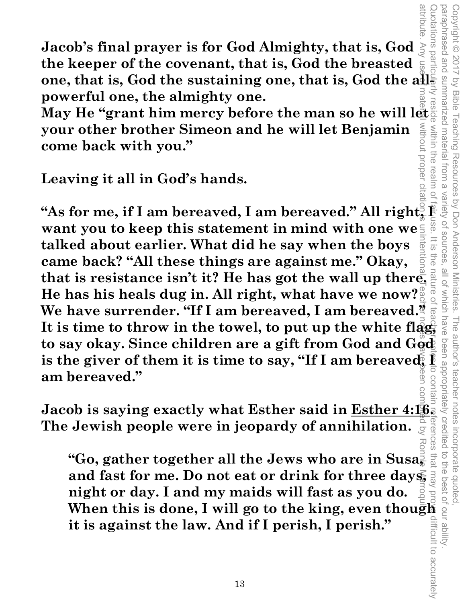Quotations particularly reside within the realm of fair use. It is the nature of teacher poter preces that may prove difficult to accurately paraphrased and summarized material from a variety of sources, all of which have been appropriately credited to the best of our ability. Copyright © 2017 by Bible Teaching Resources by Don Anderson Ministries. The author's teacher notes incorporate quoted, our besendered Copyright © 2017 by Bible Teaching uotations part summarized material within the rea Resources by Don Anderson Ministries.  $\overline{\omega}$ vanety OT SOUITCES all 01 The author's teacher notes been appropriately credited erences then difficult to accurately

**Jacob's final prayer is for God Almighty, that is, God the keeper of the covenant, that is, God the breasted one, that is, God the sustaining one, that is, God the allpowerful one, the almighty one.** 

May He "grant him mercy before the man so he will let **your other brother Simeon and he will let Benjamin come back with you."** 

**Leaving it all in God's hands.** 

"As for me, if I am bereaved, I am bereaved." All right, **want you to keep this statement in mind with one we talked about earlier. What did he say when the boys came back? "All these things are against me." Okay, that is resistance isn't it? He has got the wall up there. He has his heals dug in. All right, what have we now? We have surrender. "If I am bereaved, I am bereaved." It is time to throw in the towel, to put up the white flag,<br>It is time to throw in the towel, to put up the white flag,<br> to say okay. Since children are a gift from God and God**  is the giver of them it is time to say, "If I am bereaved," **am bereaved."**  attribute. Any use of material without proper citation is unintentional. Teacher notes bave been compiled by Ronnie Marroquin.

**Jacob is saying exactly what Esther said in Esther 4:16. The Jewish people were in jeopardy of annihilation.** 

**"Go, gather together all the Jews who are in Susa, and fast for me. Do not eat or drink for three days, night or day. I and my maids will fast as you do. When this is done, I will go to the king, even though it is against the law. And if I perish, I perish."**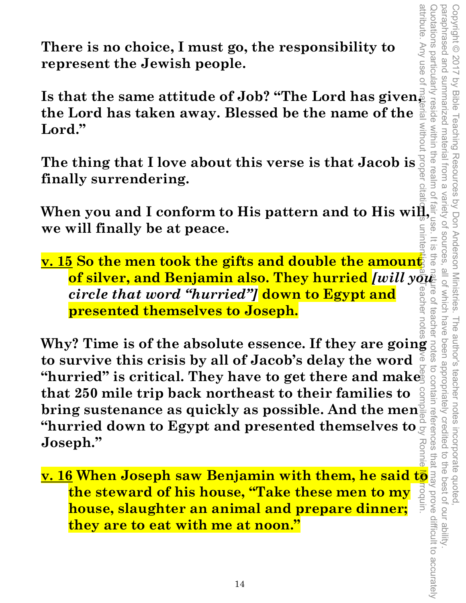attribute. Any use of

**There is no choice, I must go, the responsibility to represent the Jewish people.** 

**Is that the same attitude of Job? "The Lord has given,**  igil **the Lord has taken away. Blessed be the name of the MITDOUT Lord."** 

**The thing that I love about this verse is that Jacob is finally surrendering.** 

When you and I conform to His pattern and to His will  $\overline{\mathbf{S}}$ . **We will finally be at peace. we will finally be at peace.** 

**<u>v. 15</u> So the men took the gifts and double the amount</u> of silver, and Benjamin also. They hurried** *[will you circle that word "hurried"]* **down to Egypt and presented themselves to Joseph.** 

Why? Time is of the absolute essence. If they are going  $\frac{1}{5}$  to survive this crisis by all of Jacob's delay the word  $\frac{5}{5}$ **to survive this crisis by all of Jacob's delay the word**  "hurried" is critical. They have to get there and make **that 250 mile trip back northeast to their families to bring sustenance as quickly as possible. And the men "hurried down to Egypt and presented themselves to Joseph." Example 12 Solution** is critical. They have to get there and makes that 250 mile trip back northeast to their families to  $\frac{3}{2}$  or bring sustenance as quickly as possible. And the menusion of the murried down to Egyp attribute. Any use of material without proper citation is unintentional. Teacher notes have been compiled by Ronnie Marroquin.

**the steward of his house, "Take these men to my**  unbou. **house, slaughter an animal and prepare dinner; they are to eat with me at noon."**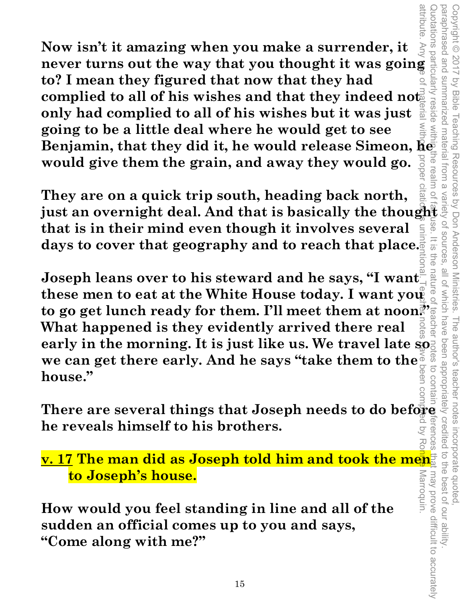**Now isn't it amazing when you make a surrender, it Now isn't it amazing when you make a surrender, it**  $\frac{1}{2}$  **and**  $\frac{1}{2}$  **never turns out the way that you thought it was going a to? I mean they figured that now that they had to? I mean they figured that now that they had**   $\bf{complied\ to\ all\ of\ his\ wishes\ and\ that\ they\ indeed\ not$ **only had complied to all of his wishes but it was just going to be a little deal where he would get to see Benjamin, that they did it, he would release Simeon, he would give them the grain, and away they would go.** 

**They are on a quick trip south, heading back north, just an overnight deal. And that is basically the thought that is in their mind even though it involves several days to cover that geography and to reach that place.** 

Copyright © 2017 by Bible Teaching Resources by Don Anderson Ministries. The author's teacher notes incorporate quoted,

The author's teacher notes

incorporate quoted,<br>edited to the best of our ability

Teaching Resources by Don Anderson Ministries.

paraphrased and summarized material from a variety of sources, all of which have been appropriately credited to the best of our ability.

natu

all of which have

**OT SOUITCES**  $\frac{1}{\sqrt{2}}$ ine

attribute

paraphrased and Copyright © 2017

summarized material from

 $\bar{\omega}$ 

**Ie rea** 

by Bible

**Joseph leans over to his steward and he says, "I want**  these men to eat at the White House today. I want you **to go get lunch ready for them. I'll meet them at noon!' What happened is they evidently arrived there real early in the morning. It is just like us. We travel late so. we can get there early. And he says "take them to the house." There are several things that Joseph needs to do before an get there early. And he says "take them to the**  $\frac{3}{8}$  **of**  $\frac{3}{8}$  **and house."<br>
There are several things that Joseph needs to do before**  $\frac{3}{8}$  **and \frac{3}{8}** attribute. Any use of material without proper citation is unintentional. Teacher notes have been compiled by Ronnie Marroquin.

to contair **he reveals himself to his brothers.** 

Quotations particularly reside within the realm of farbuse. It is the nature of teacher notes to contain wferences that may prove difficult to accurately **v. 17 The man did as Joseph told him and took the men**  may prove difficult to accurately **to Joseph's house. Marroquin.** 

**How would you feel standing in line and all of the sudden an official comes up to you and says, "Come along with me?"**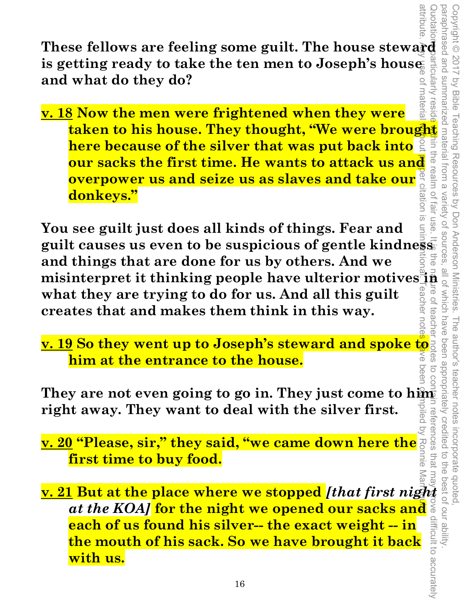These fellows are feeling some guilt. The house steward is getting ready to take the ten men to Joseph's house  $\frac{2}{3}$  and what do they do? **is getting ready to take the ten men to Joseph's house and what do they do?** 

**EXECUTE:**<br> **EXECUTE:**<br> **EXECUTE:**<br> **EXECUTE:**<br> **EXECUTE:**<br> **EXECUTE:**<br> **EXECUTE:**<br> **EXECUTE:**<br> **EXECUTE:**<br> **EXECUTE:**<br> **EXECUTE:**<br> **EXECUTE:**<br> **EXECUTE:**<br> **EXECUTE:**<br> **EXECUTE:**<br> **EXECUTE:**<br> **EXECUTE:**<br> **EXECUTE:**<br> **EXECU** materia **v. 18 Now the men were frightened when they were here because of the silver that was put back into**  our sacks the first time. He wants to attack us and<br>overpower us and seize us as slaves and take our  $\frac{1}{6}$  and<br>donkeys."<br>see guilt just does all kinds of things. Fear and **overpower us and seize us as slaves and take our donkeys."** 

attribute. Any use of material without proper citation is unintentional. Teacher notes eve been compiled by Ronnie Marroquin.  $\overline{\mathrm{o}}$ **You see guilt just does all kinds of things. Fear and guilt causes us even to be suspicious of gentle kindness and things that are done for us by others. And we**  misinterpret it thinking people have ulterior motives  $\frac{3}{10}$   $\frac{2}{9}$ <br>what they are trying to do for us. And all this guilt<br>creates that and makes them think in this way. **what they are trying to do for us. And all this guilt**   $\overline{O}$ **creates that and makes them think in this way.**  teache

Copyright © 2017 by Bible Teaching Resources by Don Anderson Ministries. The author's teacher notes incorporate quoted,

The author's teacher notes

incorporate quoted  $\overline{a}$ the<br>

been appropriately credited

 $\overline{a}$ 

Teaching Resources by Don Anderson Ministries.

paraphrased and summarized material from a variety of sources, all of which have been appropriately credited to the best of our ability.

Variety of sources

attribute

Copyright © 2017

Vy Bible

**v. 19 So they went up to Joseph's steward and spoke to**  ⋦ **him at the entrance to the house.** 

**They are not even going to go in. They just come to him right away. They want to deal with the silver first.**  references that

**v. 20 "Please, sir," they said, "we came down here the first time to buy food.** 

**<u>EXECTS</u><br>
<u><b>v. 21 But at the place where we stopped** *[that first night*<br> *at the KOA]* for the night we opened our sacks and<br>
each of us found his silver-- the exact weight -- in<br>
the mouth of his sack. So we have brough</u> at the KOA] for the night we opened our sacks and  $\frac{8}{3}$ <br>**each of us found his silver-- the exact weight -- in**<br>the mouth of his sack. So we have brought it back<br>with us.<br><sup>16</sup> **each of us found his silver-- the exact weight -- in the mouth of his sack. So we have brought it back with us.**  Quotations particularly reside within the realm of fair use. It is the nature of teacher notes to contain references that may prove difficult to accurately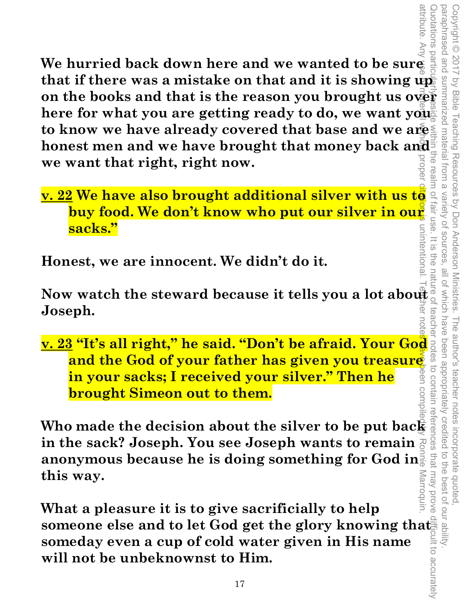attribute. Any attribute. Any use 可以errel without proper citation is unintentional. Teacher notes on compiled by a been compiled by a been compiled by a been compiled by a been compiled by a been compiled by a been compiled by a been co Quotations particularly reside within the realm of fair use. It is the nature of teacher notes to contain references that may prove difficult to accurately partic **We hurried back down here and we wanted to be sure**  that if there was a mistake on that and it is showing up that if there was a mistake on that and it is showing ups<br>on the books and that is the reason you brought us over<br>here for what you are getting ready to do, we want you here for what you are getting ready to do, we want you<sup>"</sup> **to know we have already covered that base and we are honest men and we have brought that money back and we want that right, right now.**  irea

**<u>v. 22</u> We have also brought additional silver with us to buy food. We don't know who put our silver in our sacks buy food. We don't know who put our silver in our sacks."**  unintentiona

Copyright © 2017 by Bible Teaching Resources by Don Anderson Ministries. The author's teacher notes incorporate quoted,

The author's teacher notes

been appropriately credited

**1CeS** 

incorporate quoted,<br>edited to the best of our ability

by Bible Teaching Resources by Don Anderson Ministries.

material

trom

 $\alpha$ 

Variety of sources

 $\frac{1}{\infty}$ 

paraphrased and summarized material from a variety of sources, all of which have been appropriately credited to the best of our ability.

all of which have

teachel

paraphrased and Copyright © 2017

uotations

**Honest, we are innocent. We didn't do it.** 

**Now watch the steward because it tells you a lot about Joseph.** 

**v. 23 "It's all right," he said. "Don't be afraid. Your God and the God of your father has given you treasure EVALUATE SINCE STATE SINCE SINCE SURVEYS AND SINCE SURVEYS ON MORDER 6 1999 IN SURVEYS THEN THE SINCE SURVEYS THEN THE SURVEYS PARK OF BUT SURVEYS THEN THE SURVEYS THEN THE SURVEYS THEN THE SURVEYS OF THE SURVEYS OF THE S een** comp **in your sacks; I received your silver." Then he brought Simeon out to them.** 

**in the sack? Joseph. You see Joseph wants to remain**  that may prove **anonymous because he is doing something for God in this way.**  Marroquin

**What a pleasure it is to give sacrificially to help someone else and to let God get the glory knowing that someday even a cup of cold water given in His name will not be unbeknownst to Him.**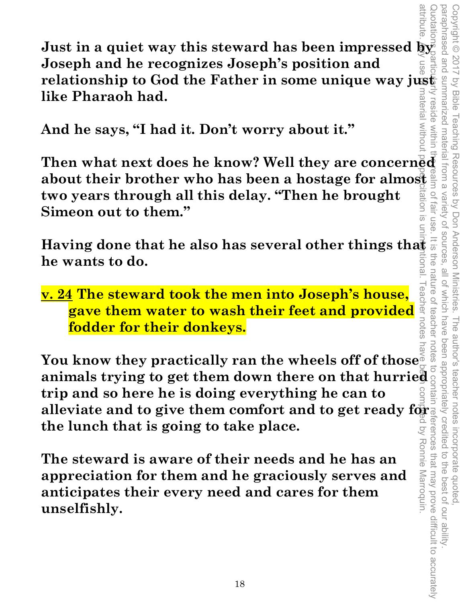**Just in a quiet way this steward has been impressed by Joseph and he recognizes Joseph's position and**  relationship to God the Father in some unique way just **like Pharaoh had.**  iateria

**And he says, "I had it. Don't worry about it."** 

**Then what next does he know? Well they are concerned about their brother who has been a hostage for almost two years through all this delay. "Then he brought Simeon out to them."** 

**Having done that he also has several other things that he wants to do.**<br>he wants to do. **he wants to do.**  Iona

Copyright © 2017 by Bible Teaching Resources by Don Anderson Ministries. The author's teacher notes incorporate quoted,

Copyright © 2017 by Bible Teaching Resources by Don Anderson Ministries.

paraphrased and summarized material from a variety of sources, all of which have been appropriately credited to the best of our ability.

nature

eacher notes teacher

Ronnie Marroquin.

all of which have

The author's teacher notes incorporate quoted,<br>have been appropriately credited to the best of our ability

Variety of sources **Tall USe** 

paraphrased and summarized material from a

reside within the

**v. 24 The steward took the men into Joseph's house, gave them water to wash their feet and provided fodder for their donkeys.** 

attribute. Any use to material without p**roper citation** is unintentional. Teacher notes have been compiled by Ronnie Marroquin. Quotations particularly reside within the realm of fair use. It is the nature of teacher notes to contain references that may prove difficult to accurately You know they practically ran the wheels off of those<sup>5</sup><br>animals trying to got the set  $\frac{1}{2}$ notes **animals trying to get them down there on that hurried trip and so here he is doing everything he can to the lunch that is going to take place.**   $\overline{Q}$ 

**alleviate and to give them comfort and to get ready for a**<br>the lunch that is going to take place.<br>The steward is aware of their needs and he has an<br>appreciation for them and he graciously serves and<br>anticipates their ever **The steward is aware of their needs and he has an appreciation for them and he graciously serves and anticipates their every need and cares for them unselfishly.**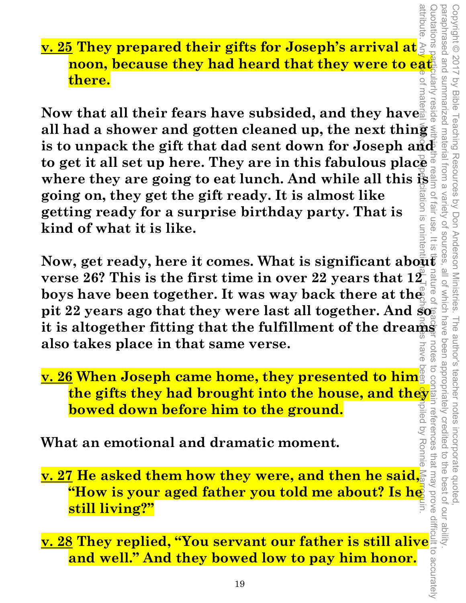**v. 25 They prepared their gifts for Joseph's arrival at noon, because they had heard that they were to eat there.** 

Now that all their fears have subsided, and they have<sup><sup>6</sup></sup> **all had a shower and gotten cleaned up, the next thing**  is to unpack the gift that dad sent down for Joseph and **to get it all set up here. They are in this fabulous place where they are going to eat lunch. And while all this is going on, they get the gift ready. It is almost like getting ready for a surprise birthday party. That is kind of what it is like.**  attribute. Any use of material wollorial wollorial wollorial propertion is unintention and Teacher notes have been compiled by proper by Teacher and Barroquin.

Now, get ready, here it comes. What is significant about **verse 26? This is the first time in over 22 years that 12 boys have been together. It was way back there at the pit 22 years ago that they were last all together. And**  $\bar{s}$ **it is altogether fitting that the fulfillment of the dreams also takes place in that same verse.** 

**v. 26 When Joseph came home, they presented to him the gifts they had brought into the house, and they bowed down before him to the ground.** 

**What an emotional and dramatic moment.** 

**v. 27 He asked them how they were, and then he said,**  <u>"How is your aged father you told me about? Is he </u> **still living?"** 

**v. 28 They replied, "You servant our father is still alive and well." And they bowed low to pay him honor.**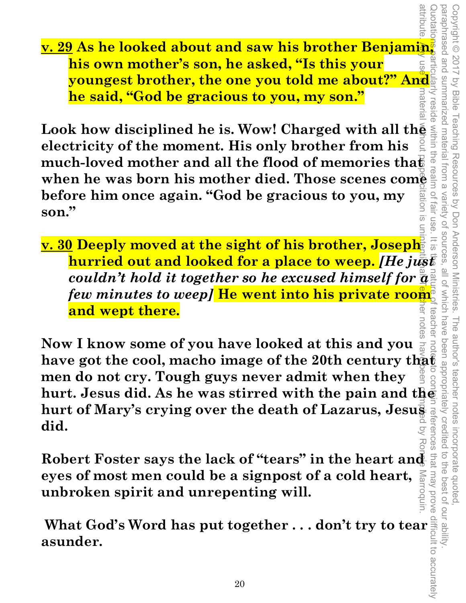**v. 29 As he looked about and saw his brother Benjamin, his own mother's son, he asked, "Is this your youngest brother, the one you told me about?" And he said, "God be gracious to you, my son."** 

**Look how disciplined he is. Wow! Charged with all the <br>electricity of the moment. His only brother from his electricity of the moment. His only brother from his**  much-loved mother and all the flood of memories that **when he was born his mother died. Those scenes come before him once again. "God be gracious to you, my son."**   $\overline{\varpi}$ 

Quotations particularly reside within the realm of fair use. It is the nature of teacher notes to contain references that may prove difficult to accurately **v. 30 Deeply moved at the sight of his brother, Joseph hurried out and looked for a place to weep.** *[He just couldn't hold it together so he excused himself for a few minutes to weep]* **He went into his private room and wept there.**  teache

Copyright © 2017 by Bible Teaching Resources by Don Anderson Ministries. The author's teacher notes incorporate quoted,

The author's teacher notes

incorporate quoted  $\overrightarrow{C}$ 

that may prove

the best of our ability

been appropriately creditec

Teaching Resources by Don Anderson Ministries.

paraphrased and summarized material from a variety of sources, all of which have been appropriately credited to the best of our ability.

which have

 $\frac{10}{2}$ 

pue peseudenec Copyright © 2017

summarized material

trom a

Variety of sources fair use

reside

**by Bible** 

puesan

attribute. Any use of material w**o**ndut proper citation is unintentive allemation is unintentive been contes have been compile. Marroquin. **Now I know some of you have looked at this and you**  have got the cool, macho image of the 20th century that **men do not cry. Tough guys never admit when they hurt. Jesus did. As he was stirred with the pain and the hurt of Mary's crying over the death of Lazarus, Jesus**  reterences **did.** 

**Robert Foster says the lack of "tears" in the heart and eyes of most men could be a signpost of a cold heart, unbroken spirit and unrepenting will.** 

**What God's Word has put together . . . don't try to tear**<br>**asunder.**<br>20<br>20 **asunder.**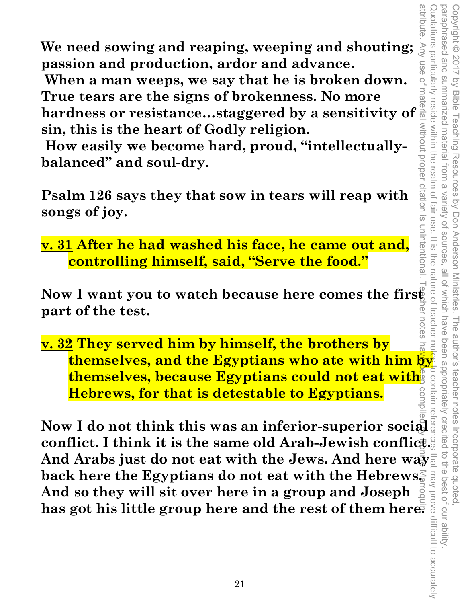Quotations particularly reside within the realm of fair use. It is the nature of teacher notes to contain references that may prove difficult to accurately paraphrased and summarized material from a paraphrased and summarized material from a variety of sources, all of which have been appropriately credited to the best of our ability. Copyright © 2017 by Bible Teaching Resources by Don Anderson Ministries. The author's teacher notes incorporate quoted, Copyright © 2017 by Bible Teaching Resources by Don Anderson Ministries. buotations particularly reside within the realm of fair use Variety of sources  $rac{1}{5}$ the nature of all of which have teacher The author's teacher notes been appropriately credited  $\overline{a}$ i incorporate quoted,<br>redited to the best of our ability

attribute

**We need sowing and reaping, weeping and shouting; passion and production, ardor and advance.** 

 **When a man weeps, we say that he is broken down. True tears are the signs of brokenness. No more** 

We need sowing and reaping, weeping and shouting;<br>
passion and production, ardor and advance.<br>
Then a man weeps, we say that he is broken down.<br>
True tears are the signs of brokenness. No more<br>
hardness or resistance...st **sin, this is the heart of Godly religion.** 

 **How easily we become hard, proud, "intellectuallybalanced" and soul-dry.** 

**Psalm 126 says they that sow in tears will reap with songs of joy.** 

**v. 31 After he had washed his face, he came out and, controlling himself, said, "Serve the food."** 

Now I want you to watch because here comes the first ╦ **part of the test.**  r notes

**v. 32 They served him by himself, the brothers by themselves, and the Egyptians who ate with him by themselves, because Egyptians could not eat with Hebrews, for that is detestable to Egyptians.** 

**Now I do not think this was an inferior-superior social conflict. I think it is the same old Arab-Jewish conflict.**  And Arabs just do not eat with the Jews. And here way<sup>1</sup> **back here the Egyptians do not eat with the Hebrews. And so they will sit over here in a group and Joseph hack here the Egyptians do not eat with the Hebrews.**<br>
And so they will sit over here in a group and Joseph<br>
has got his little group here and the rest of them here.<br> **has got his little group here and the rest of them he** attribute. Any use of material without proper citation is unintentional. Teacher notes have been compiled by Ronnie Marroquin.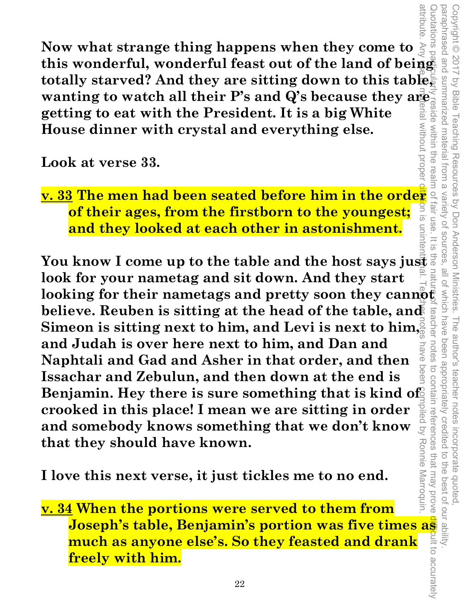**Now what strange thing happens when they come to**  this wonderful, wonderful feast out of the land of being this wonderful, wonderful feast out of the land of being **totally starved? And they are sitting down to this table, wanting to watch all their P's and Q's because they are getting to eat with the President. It is a big White getting to eat with the President. It is a big White**  without prope **House dinner with crystal and everything else.** 

**Look at verse 33.** 

**<u>v. 33</u> The men had been seated before him in the order of their ages, from the firstborn to the youngest;**  $\frac{2}{3}$ **<br>and they looked at each other in astonishment. of their ages, from the firstborn to the youngest; and they looked at each other in astonishment.** 

Copyright © 2017 by Bible Teaching Resources by Don Anderson Ministries. The author's teacher notes incorporate quoted,

The author's teacher notes

been appropriately credited

Copyright © 2017 by Bible Teaching Resources by Don Anderson Ministries.

paraphrased and summarized material from a variety of sources, all of which have been appropriately credited to the best of our ability.

all of which have

teachel

uotes

Variety of sources

 $\overline{\infty}$ 

paraphrased and

I summarized material

I from  $\overline{\omega}$ 

within the rea

suotations

attribute. Any **use of material without proper citation** is unintenti**ty** al. Teacher notes have been compiled by Ronnie Marroquin. **EVALUATE CALL STATE IN ASSOMBLIFER.**<br> **You know I come up to the table and the host says just a look for your nametag and sit down. And they start**  looking for their nametags and pretty soon they cannot **believe. Reuben is sitting at the head of the table, and Simeon is sitting next to him, and Levi is next to him, and Judah is over here next to him, and Dan and**  have **Naphtali and Gad and Asher in that order, and then**  Deer **Issachar and Zebulun, and then down at the end is**  Benjamin. Hey there is sure something that is kind of npiled by Ronnie Marroquin. **crooked in this place! I mean we are sitting in order and somebody knows something that we don't know that they should have known.** 

**I love this next verse, it just tickles me to no end.** 

Quotations particularly reside within the realm of fair use. It is the nature of teacher notes to contain references that may prove difficult to accurately to contain references that may prove **v. 34 When the portions were served to them from Joseph's table, Benjamin's portion was five times as much as anyone else's. So they feasted and drank freely with him.**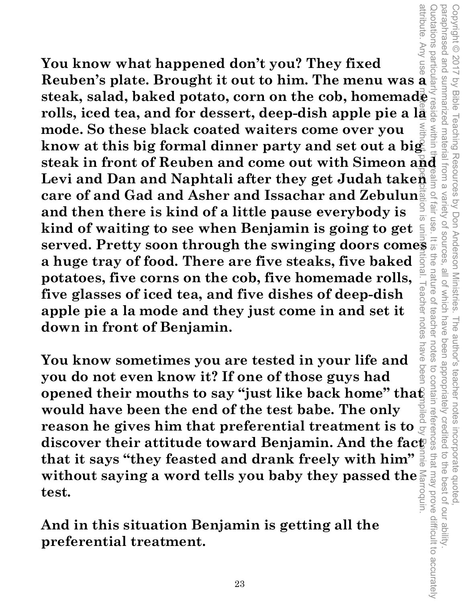**Reuben's plate. Brought it out to him. The menu was a**  attribute. Any use of material without proper citation is unintentional. Teacher notes have been compiled by Ronnie Marroquin. **You know what happened don't you? They fixed**  Reuben's plate. Brought it out to him. The menu was a  $\frac{1}{2}$  steak, salad, baked potato, corn on the cob, homemad $\frac{1}{2}$  rolls, iced tea, and for dessert, deep-dish apple pie a  $1\frac{1}{2}$  mode. So these black coated **steak, salad, baked potato, corn on the cob, homemade rolls, iced tea, and for dessert, deep-dish apple pie a la mode. So these black coated waiters come over you**  know at this big formal dinner party and set out a big. Levi and Dan and Naphtali after they get Judah taken **care of and Gad and Asher and Issachar and Zebulun and then there is kind of a little pause everybody is kind of waiting to see when Benjamin is going to get served. Pretty soon through the swinging doors comes a huge tray of food. There are five steaks, five baked potatoes, five corns on the cob, five homemade rolls,**  eacher notes **five glasses of iced tea, and five dishes of deep-dish apple pie a la mode and they just come in and set it down in front of Benjamin.** 

Copyright © 2017 by Bible Teaching Resources by Don Anderson Ministries. The author's teacher notes incorporate quoted,

The author's teacher notes

incorporate quoted  $\overrightarrow{C}$ 

been appropriately credited

by Bible Teaching Resources by Don Anderson Ministries.

paraphrased and summarized material from a variety of sources, all of which have been appropriately credited to the best of our ability.

all of which have

Variety of sources

fair use

paraphrased and Copyright © 2017

within

Quotations particularly reside within the realm of fair use. It is the nature of teacher notes to contain references that may prove difficult to accurately

teachel

notes

to contain references

that may prove difficult to accurately

the best of our ability

nature

nave **You know sometimes you are tested in your life and**  Deel **you do not even know it? If one of those guys had opened their mouths to say "just like back home" that would have been the end of the test babe. The only reason he gives him that preferential treatment is to discover their attitude toward Benjamin. And the fact that it says "they feasted and drank freely with him" without saying a word tells you baby they passed the test.** 

**And in this situation Benjamin is getting all the preferential treatment.**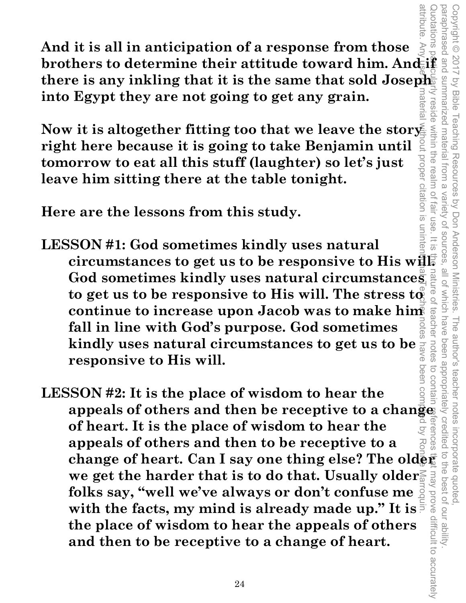**brothers to determine their attitude toward him. And if and if a set of a response from those** uotations **And it is all in anticipation of a response from those there is any inkling that it is the same that sold Joseph into Egypt they are not going to get any grain.**  reside

Now it is altogether fitting too that we leave the story **right here because it is going to take Benjamin until tomorrow to eat all this stuff (laughter) so let's just leave him sitting there at the table tonight.** 

**Here are the lessons from this study.** 

citation is uninter **LESSON #1: God sometimes kindly uses natural circumstances to get us to be responsive to His will.**  God sometimes kindly uses natural circumstances to get us to be responsive to His will. The stress to **continue to increase upon Jacob was to make him fall in line with God's purpose. God sometimes kindly uses natural circumstances to get us to be responsive to His will.** 

Copyright © 2017 by Bible Teaching Resources by Don Anderson Ministries. The author's teacher notes incorporate quoted,

Teaching Resources by Don Anderson Ministries.

Copyright © 2017 by Bible

summarized material from a

within the realm of

paraphrased and summarized material from a variety of sources, all of which have been appropriately credited to the best of our ability.

all of which have

The author's teacher notes incorporate quoted,<br>have been appropriately credited to the best of our ability

Variety of sources fair use

 $\overline{\omega}$ 

teacher

attribute

attribute. Any use praterial without proper citation is unintentipal of eacher notes have been compiled by Ronnie. Any use pattribute Marroquin. Quotations particularly reside within the realm of fair use. It is the nature of teacher notes to contain references that may prove difficult to accurately **LESSON #2: It is the place of wisdom to hear the appeals of others and then be receptive to a change of heart. It is the place of wisdom to hear the appeals of others and then to be receptive to a change of heart. Can I say one thing else? The older we get the harder that is to do that. Usually older**  may prove difficult to accurately **folks say, "well we've always or don't confuse me with the facts, my mind is already made up." It is the place of wisdom to hear the appeals of others and then to be receptive to a change of heart.**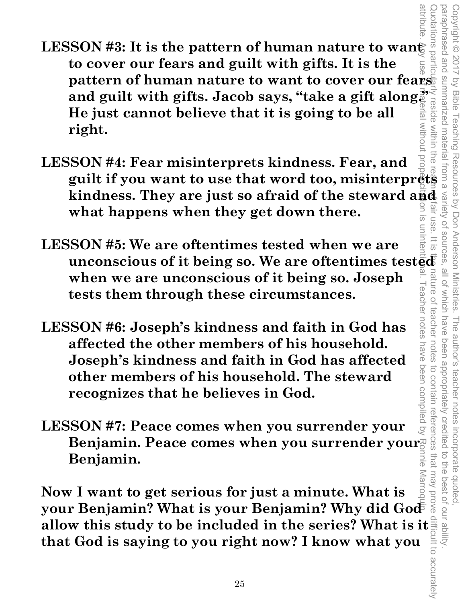- attribute. Any use of material without proper citation is unintentional. Teacher notes have been compiled by Ronnie Marroquin. LESSON #3: It is the pattern of human nature to wan<del>t</del> **to cover our fears and guilt with gifts. It is the**  pattern of human nature to want to cover our fearsing<br>and guilt with gifts. Jacob says, "take a gift along?"<br>He just cannot believe that it is going to be all<br>right.<br>SON #4: Fear misinterprets kindness. Fear, and<br>guilt if **pattern of human nature to want to cover our fears and guilt with gifts. Jacob says, "take a gift along." He just cannot believe that it is going to be all MILDOUT right.**
- Quotations particularly reside within the realm of fair use. It is the nature of teacher notes to contain references that may prove difficult to accurately **LESSON #4: Fear misinterprets kindness. Fear, and kindness. They are just so afraid of the steward and**  $\frac{d}{dt}d$  **what happens when they get down there.**<br>SSON #5: We are oftentimes tested when we are  $\frac{d}{dt}d\theta$  is a set of the straight inconscious of it being so. We a **what happens when they get down there.**   $\overline{\omega}$
- **LESSON #5: We are oftentimes tested when we are unconscious of it being so. We are oftentimes test** $\bar{\bar{\mathbf{g}}} \bar{\mathbf{d}}$ nature **when we are unconscious of it being so. Joseph**  eacher notes **tests them through these circumstances.**   $\overline{O}$

Copyright © 2017 by Bible Teaching Resources by Don Anderson Ministries. The author's teacher notes incorporate quoted,

The author's teacher notes

incorporate quoted  $\overline{a}$ -ue

best of our ability

been appropriately credited

Teaching Resources by Don Anderson Ministries.

paraphrased and summarized material from a variety of sources, all of which have been appropriately credited to the best of our ability.

all of Which have

teachel

notes

pue pesenderaco

within

Copyright © 2017 by Bible

- **LESSON #6: Joseph's kindness and faith in God has affected the other members of his household. Joseph's kindness and faith in God has affected other members of his household. The steward recognizes that he believes in God.**
- have been compiled by **LESSON #7: Peace comes when you surrender your Benjamin. Peace comes when you surrender your Benjamin.**

to contain references that may prove **Marroq Now I want to get serious for just a minute. What is**  your Benjamin? What is your Benjamin? Why did God<sup>5</sup> **allow this study to be included in the series? What is it and that God is saying to you right now? I know what you allow that you can be a set of that God is saying to you right now? I know what you allow all pay of the s that God is saying to you right now? I know what you**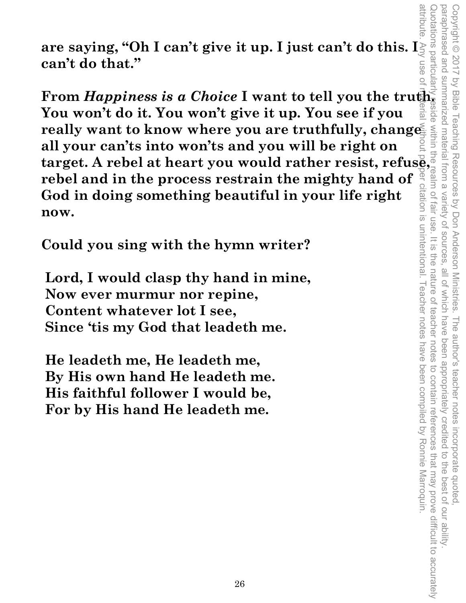attribute. Any use of material without proper citation is unintentional. Teacher notes have been compiled by Ronnie Marroquin. Quotations particularly reside within the realm of fair use. It is the nature of teacher notes to contain references that may prove difficult to accurately paraphrased and summarized material from a variety of sources, all of which have been appropriately credited to the best of our ability. Copyright © 2017 by Bible Teaching Resources by Don Anderson Ministries. The author's teacher notes incorporate quoted,  $\Xi$ ber citation is unintentional. Teacher notes have been compiled by Ronnie Marroquin.

**are saying, "Oh I can't give it up. I just can't do this. I can't do that."** 

**From** *Happiness is a Choice* **I want to tell you the truth. You won't do it. You won't give it up. You see if you**  really want to know where you are truthfully, change **all your can'ts into won'ts and you will be right on the start of the stress of the stress of the stress of the stress of the stress of the stress and your can'ts into won'ts and you will be right on target. A rebel at heart you would rather resist, refuse, representing the rebel and in the process restrain the mighty hand of God in doing something beautiful in your life right now.** 

**Could you sing with the hymn writer?** 

 **Lord, I would clasp thy hand in mine, Now ever murmur nor repine, Content whatever lot I see, Since 'tis my God that leadeth me.** 

 **He leadeth me, He leadeth me, By His own hand He leadeth me. His faithful follower I would be, For by His hand He leadeth me.**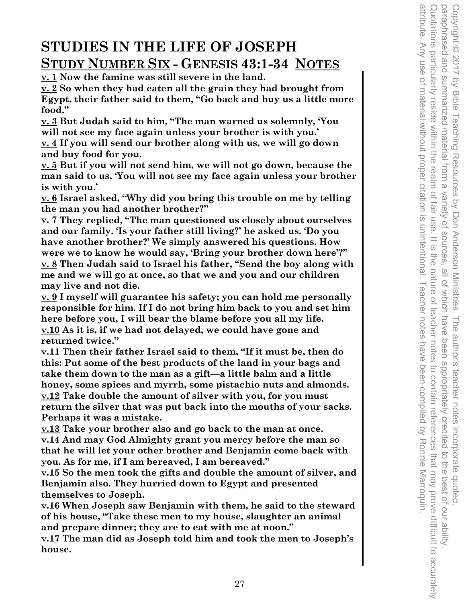## **STUDIES IN THE LIFE OF JOSEPH STUDY NUMBER SIX - GENESIS 43:1-34 NOTES**

**v. 1 Now the famine was still severe in the land.** 

**v. 2 So when they had eaten all the grain they had brought from Egypt, their father said to them, "Go back and buy us a little more food."** 

**v. 3 But Judah said to him, "The man warned us solemnly, 'You will not see my face again unless your brother is with you.'** 

**v. 4 If you will send our brother along with us, we will go down and buy food for you.** 

**v. 5 But if you will not send him, we will not go down, because the man said to us, 'You will not see my face again unless your brother is with you.'** 

**v. 6 Israel asked, "Why did you bring this trouble on me by telling the man you had another brother?"** 

**v. 7 They replied, "The man questioned us closely about ourselves and our family. 'Is your father still living?' he asked us. 'Do you have another brother?' We simply answered his questions. How were we to know he would say, 'Bring your brother down here'?" v. 8 Then Judah said to Israel his father, "Send the boy along with me and we will go at once, so that we and you and our children may live and not die.** 

**v. 9 I myself will guarantee his safety; you can hold me personally responsible for him. If I do not bring him back to you and set him here before you, I will bear the blame before you all my life. v.10 As it is, if we had not delayed, we could have gone and returned twice."** 

**v.11 Then their father Israel said to them, "If it must be, then do this: Put some of the best products of the land in your bags and take them down to the man as a gift—a little balm and a little honey, some spices and myrrh, some pistachio nuts and almonds. v.12 Take double the amount of silver with you, for you must return the silver that was put back into the mouths of your sacks. Perhaps it was a mistake.** 

**v.13 Take your brother also and go back to the man at once. v.14 And may God Almighty grant you mercy before the man so that he will let your other brother and Benjamin come back with you. As for me, if I am bereaved, I am bereaved."** 

**v.15 So the men took the gifts and double the amount of silver, and Benjamin also. They hurried down to Egypt and presented themselves to Joseph.** 

**v.16 When Joseph saw Benjamin with them, he said to the steward of his house, "Take these men to my house, slaughter an animal and prepare dinner; they are to eat with me at noon."** 

**v.17 The man did as Joseph told him and took the men to Joseph's house.**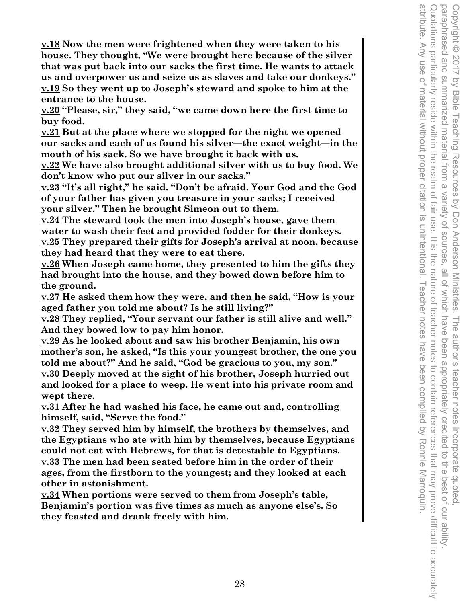**v.18 Now the men were frightened when they were taken to his house. They thought, "We were brought here because of the silver that was put back into our sacks the first time. He wants to attack us and overpower us and seize us as slaves and take our donkeys." v.19 So they went up to Joseph's steward and spoke to him at the entrance to the house.** 

**v.20 "Please, sir," they said, "we came down here the first time to buy food.** 

**v.21 But at the place where we stopped for the night we opened our sacks and each of us found his silver—the exact weight—in the mouth of his sack. So we have brought it back with us.** 

**v.22 We have also brought additional silver with us to buy food. We don't know who put our silver in our sacks."** 

**v.23 "It's all right," he said. "Don't be afraid. Your God and the God of your father has given you treasure in your sacks; I received your silver." Then he brought Simeon out to them.** 

**v.24 The steward took the men into Joseph's house, gave them water to wash their feet and provided fodder for their donkeys. v.25 They prepared their gifts for Joseph's arrival at noon, because they had heard that they were to eat there.** 

**v.26 When Joseph came home, they presented to him the gifts they had brought into the house, and they bowed down before him to the ground.** 

**v.27 He asked them how they were, and then he said, "How is your aged father you told me about? Is he still living?"** 

**v.28 They replied, "Your servant our father is still alive and well." And they bowed low to pay him honor.** 

**v.29 As he looked about and saw his brother Benjamin, his own mother's son, he asked, "Is this your youngest brother, the one you told me about?" And he said, "God be gracious to you, my son." v.30 Deeply moved at the sight of his brother, Joseph hurried out** 

**and looked for a place to weep. He went into his private room and wept there.** 

**v.31 After he had washed his face, he came out and, controlling himself, said, "Serve the food."** 

**v.32 They served him by himself, the brothers by themselves, and the Egyptians who ate with him by themselves, because Egyptians could not eat with Hebrews, for that is detestable to Egyptians. v.33 The men had been seated before him in the order of their ages, from the firstborn to the youngest; and they looked at each other in astonishment.** 

**v.34 When portions were served to them from Joseph's table, Benjamin's portion was five times as much as anyone else's. So they feasted and drank freely with him.**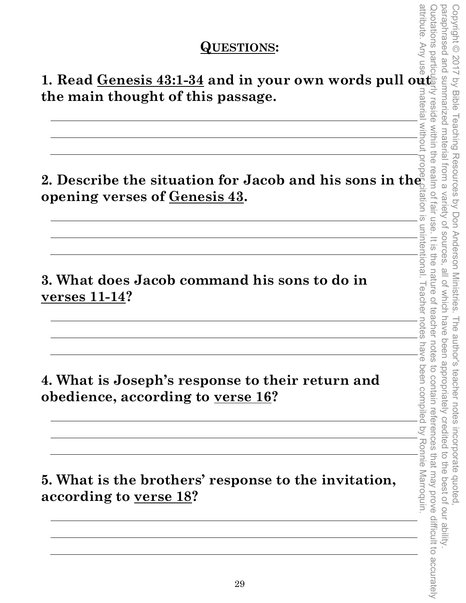### **QUESTIONS:**

1. Read <u>Genesis 43:1-34</u> and in your own words pull out **the main thought of this passage.** 

**2. Describe the situation for Jacob and his sons in the all set of a code and his sons in the all set of a code and his sons in the**  $\frac{1}{2}$ **opening verses of Genesis 43.** 

**3. What does Jacob command his sons to do in verses 11-14?** 

**4. What is Joseph's response to their return and obedience, according to verse 16?** 

**5. What is the brothers' response to the invitation, according to verse 18?**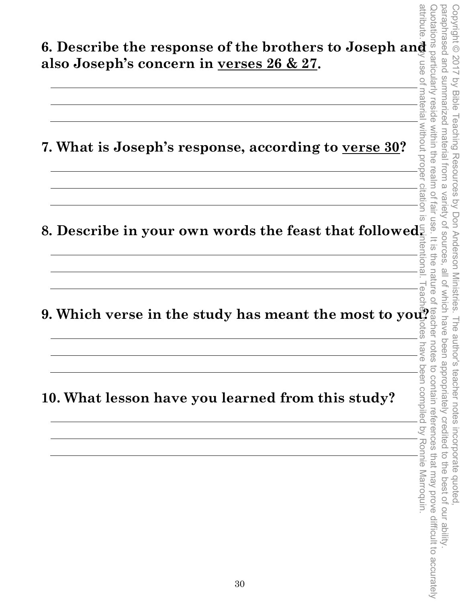announe **6. Describe the response of the brothers to Joseph and**  attribute. Any use of material without proper citation is unintentional. Teacher notes have been compiled by Ronnie Marroquin. Quotations particularly reside within the realm of fair use. It is the nature of teacher notes to contain references that may prove difficult to accurately Copyright © 2017 by Bible Teaching Resources by Don Anderson Ministries. The author's teacher notes incorporate quoted,<br>paraphrased and summarized material from a variety of sources, all of which have been appropriately c paraphrased and summarized material from a variety of sources, all of which have been appropriately credited to the best of our ability. Copyright © 2017 by Bible Teaching Resources by Don Anderson Ministries. The author's teacher notes incorporate quoted, **also Joseph's concern in verses 26 & 27. USE Of** material without proper citation **7. What is Joseph's response, according to verse 30?**   $\frac{1}{\infty}$ 8. Describe in your own words the feast that followed. tentional. **9. Which verse in the study has meant the most to you?**  have been compiled by Ronnie Marroquin. to contain references that may prove difficult to accurately **10. What lesson have you learned from this study?**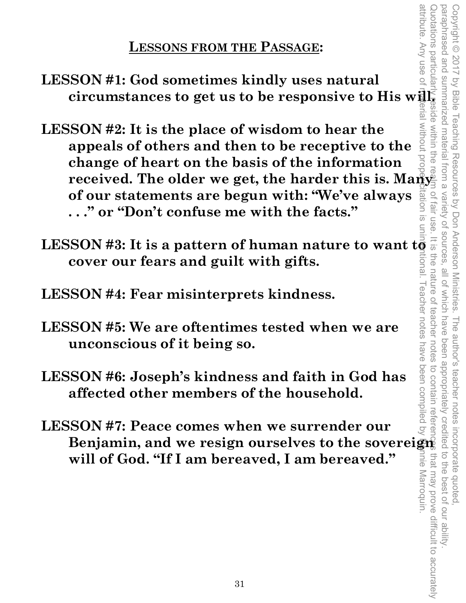**LESSONS FROM THE PASSAGE:** 

**LESSON #1: God sometimes kindly uses natural circumstances to get us to be responsive to His will.** 

- **LESSON #2: It is the place of wisdom to hear the appeals of others and then to be receptive to the change of heart on the basis of the information received. The older we get, the harder this is. Many**<br>of our statements are hard with the contract of our statements **of our statements are begun with: "We've always . . ." or "Don't confuse me with the facts."**  コの
- **LESSON #3: It is a pattern of human nature to want to <br>cover our fears and guilt with gifts.**<br>LESSON #4: Fear misinterprets kindness. **cover our fears and guilt with gifts.**
- **LESSON #4: Fear misinterprets kindness.**
- **LESSON #5: We are oftentimes tested when we are unconscious of it being so.**
- **LESSON #6: Joseph's kindness and faith in God has affected other members of the household.**
- **LESSON #7: Peace comes when we surrender our**  Benjamin, and we resign ourselves to the sovereign nnie Marroquin. **will of God. "If I am bereaved, I am bereaved."**

attribute. Any use of attribute. Any use of material without proper citation is unintentional. Teacher notes have been compiled by Ronnie Marroquin. Quotations particularly reside within the realm of fair use. It is the nature of teacher notes to contain references that may prove difficult to accurately cluotations particula paraphrased and summarized material from a variety of sources, all of which have been appropriately credited to the best of our ability. Copyright © 2017 by Bible Teaching Resources by Don Anderson Ministries. The author's teacher notes incorporate quoted, of fair use I eacher notes teacher that may prove difficult to accurately